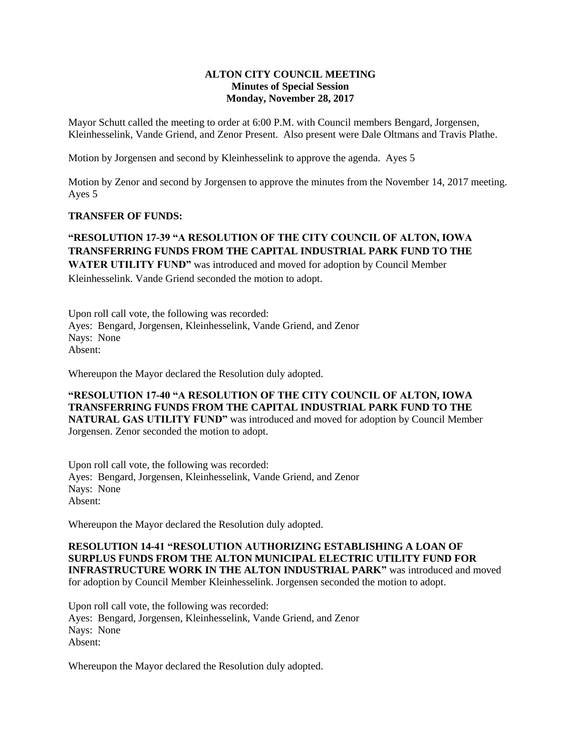## **ALTON CITY COUNCIL MEETING Minutes of Special Session Monday, November 28, 2017**

Mayor Schutt called the meeting to order at 6:00 P.M. with Council members Bengard, Jorgensen, Kleinhesselink, Vande Griend, and Zenor Present. Also present were Dale Oltmans and Travis Plathe.

Motion by Jorgensen and second by Kleinhesselink to approve the agenda. Ayes 5

Motion by Zenor and second by Jorgensen to approve the minutes from the November 14, 2017 meeting. Ayes 5

## **TRANSFER OF FUNDS:**

## **"RESOLUTION 17-39 "A RESOLUTION OF THE CITY COUNCIL OF ALTON, IOWA TRANSFERRING FUNDS FROM THE CAPITAL INDUSTRIAL PARK FUND TO THE**

**WATER UTILITY FUND"** was introduced and moved for adoption by Council Member Kleinhesselink. Vande Griend seconded the motion to adopt.

Upon roll call vote, the following was recorded: Ayes: Bengard, Jorgensen, Kleinhesselink, Vande Griend, and Zenor Nays: None Absent:

Whereupon the Mayor declared the Resolution duly adopted.

**"RESOLUTION 17-40 "A RESOLUTION OF THE CITY COUNCIL OF ALTON, IOWA TRANSFERRING FUNDS FROM THE CAPITAL INDUSTRIAL PARK FUND TO THE NATURAL GAS UTILITY FUND"** was introduced and moved for adoption by Council Member Jorgensen. Zenor seconded the motion to adopt.

Upon roll call vote, the following was recorded: Ayes: Bengard, Jorgensen, Kleinhesselink, Vande Griend, and Zenor Nays: None Absent:

Whereupon the Mayor declared the Resolution duly adopted.

**RESOLUTION 14-41 "RESOLUTION AUTHORIZING ESTABLISHING A LOAN OF SURPLUS FUNDS FROM THE ALTON MUNICIPAL ELECTRIC UTILITY FUND FOR INFRASTRUCTURE WORK IN THE ALTON INDUSTRIAL PARK"** was introduced and moved for adoption by Council Member Kleinhesselink. Jorgensen seconded the motion to adopt.

Upon roll call vote, the following was recorded: Ayes: Bengard, Jorgensen, Kleinhesselink, Vande Griend, and Zenor Nays: None Absent:

Whereupon the Mayor declared the Resolution duly adopted.